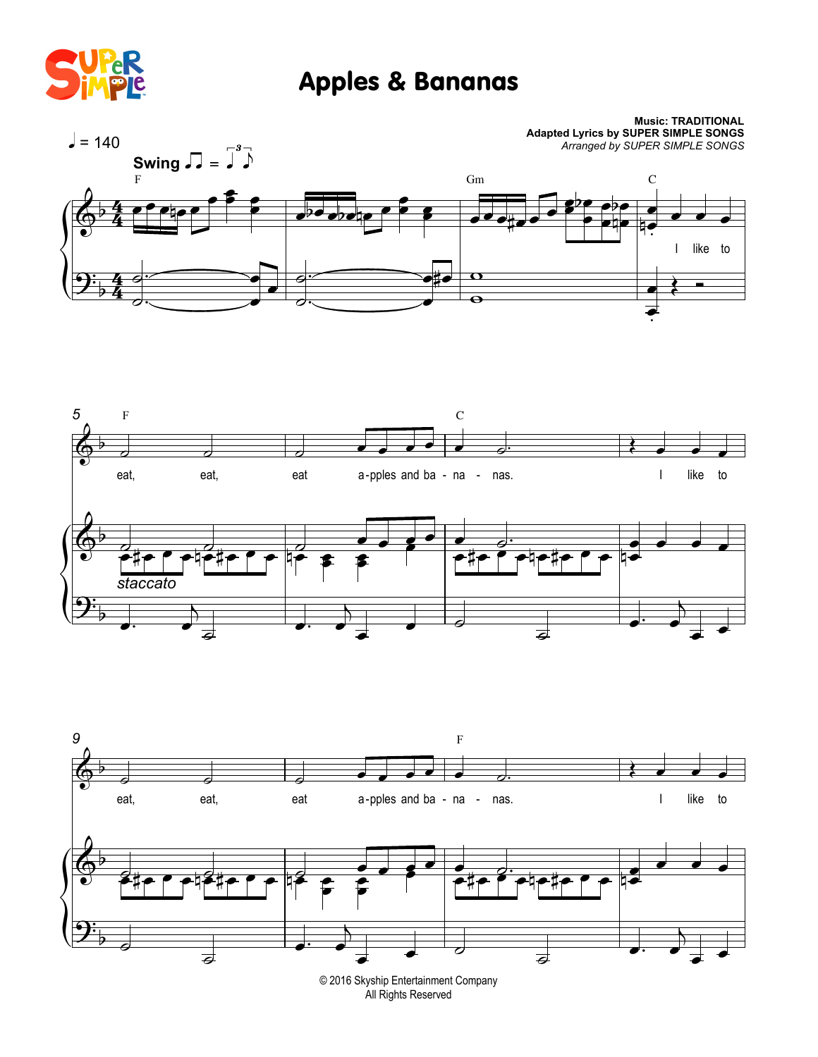

## Apples & Bananas







© 2016 Skyship Entertainment Company All Rights Reserved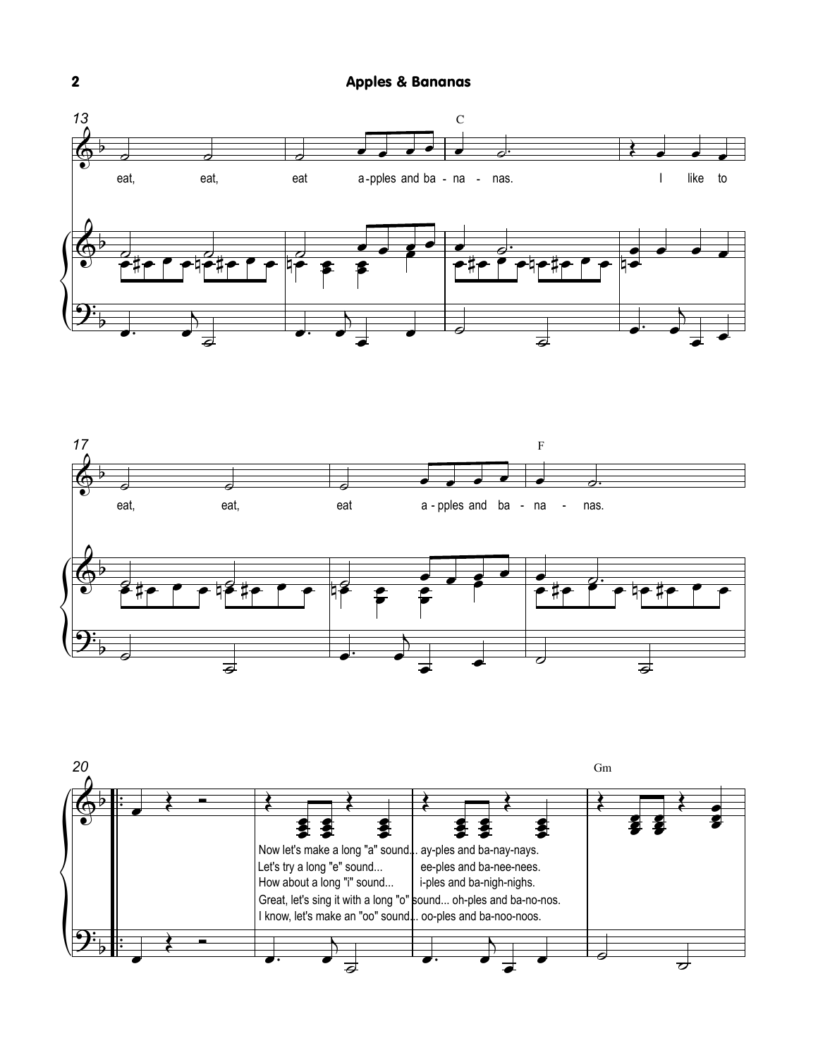





 $\overline{\mathbf{2}}$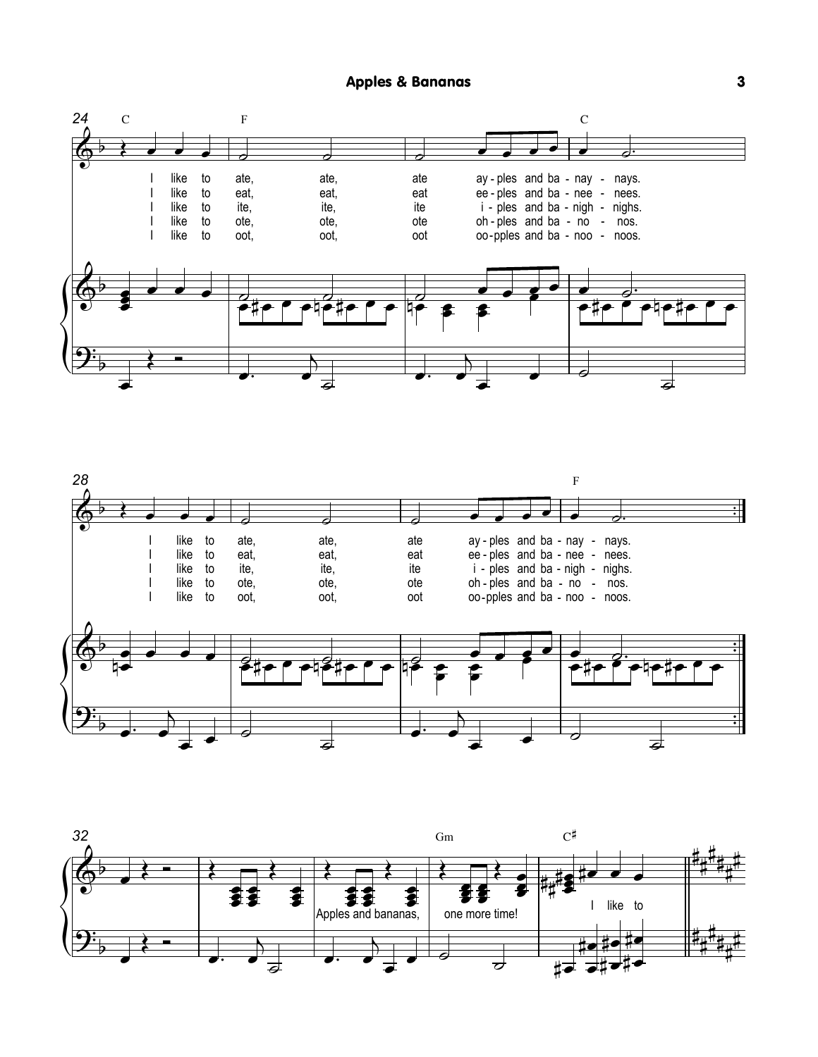



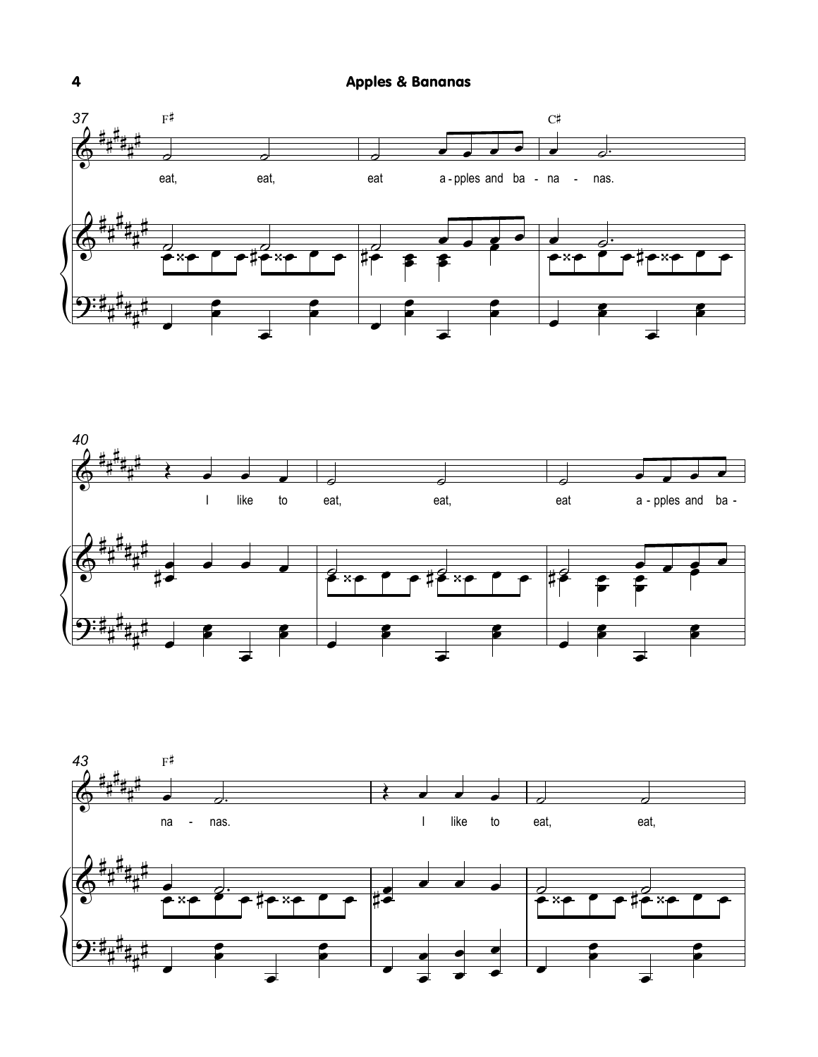





 $\overline{\mathbf{4}}$